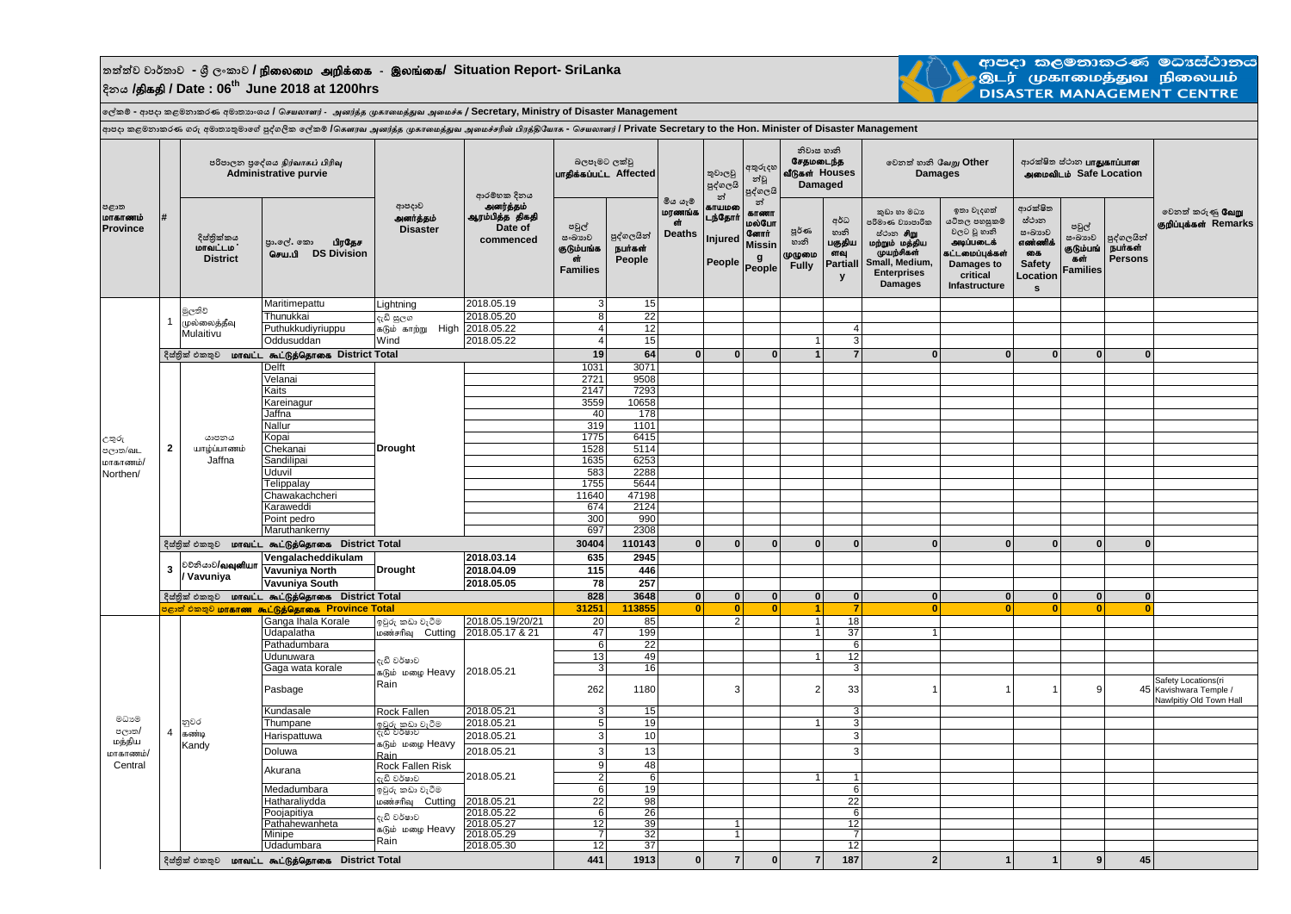## **තත්ත්ව වාර්තාව - ශ්රී ලංකාව /** epiyik mwpf;if - ,yq;if**/ Situation Report- SriLanka දිනය /**jpfjp **/ Date : 06th June 2018 at 1200hrs**



ආපදා කළමනාකරණ මධාස්ථානය இடர் முகாமைத்துவ நிலையம் **DISASTER MANAGEMENT CENTRE** 

**ලේකම් - ආපදා කළමනාකරණ අමාතයාංශය /** *செயலாளர்* - *அனர்த்த முகாமைத்துவ அமைச்சு* **/ Secretary, Ministry of Disaster Management**

**දිස්තික්කය**<br>**மாவட்டம**் **District** පා.ලේ. කො **பிரதேச** nra.gp **DS Division පවුේ සංඛ්යාව**  ร.(หิเข้นเซี่ ັດກ **Families පුද්ගලයින්** நபர்கள் **People පූර්ණ හානි** முழுமை **Fully අර්ධ හානි** பகுதிய ளவ **Partiall y කුඩා හා මධය පරිමාණ වයාපාරික** ස්ථාන **சிறு**<br>**மற்றும் மத்திய**<br>முயற்சிகள் **Small, Medium, Enterprises Damages ඉතා වැදගත් යටිතල පහසුකම් වලට වූ හානි** அடிப்பகைக் ......<br>கட்டமைப்பக்கள் **Damages to critical Infastructure ආරක්ෂිත සථ් ාන සංඛ්යාව** sai cain di கை **Safety Location s පවුේ සංඛ්යාව** குடும்பங் ்கள் **Families** පුද්ගලයින්<br>**நபர்கள் Persons** 15 Maritimepattu Lightning 2018.05.19 3 15<br>Thunukkai c. 8 ace 2018.05.20 8 22 Thunukkai |<sub>ಛಿ</sub>ದಿ <sub>¤∖C</sub>∞ | 2018.05.20 | 8| 22 Puthukkudiyriuppu 2018.05.22 4 12 4 Oddusuddan 2018.05.22 4 15 1 3 **19 64 0 0 0 1 7 0 0 0 0 0** Delft 1031 3071 Velanai 2721 9508 Kaits 2147 7293 Kareinagur 3559 10658 Jaffna 40 178 Nallur 1101 | 319 | 319 | 319 | 319 | 319 | 319 | 319 | 319 | 319 | 319 | 319 | 31 Kopai 1775 6415 Chekanai 1528 5114 Sandilipai | | | | | | | | | | | | 1635 | 6253 Uduvil 583 2288 Telippalay 1755 5644 Chawakachcheri 11640 47198<br>Karaweddi 674 2124 Karaweddi 674 2124 Point pedro 300 990 Maruthankerny **30404 110143 0 0 0 0 0 0 0 0 0 0 Vengalacheddikulam 2018.03.14 635 2945 Vavuniya North 2018.04.09 115 446 Vavuniya South 2018.05.05 78 257 828 3648 0 0 0 0 0 0 0 0 0 0 31251 113855 0 0 0 1 7 0 0 0 0 0** Ganga Ihala Korale | ຈຽ∕ເ *කඩා* වැටීම | 2018.05.19/20/21 | 20 | 85 | 2 | 1 18<br>Udapalatha | ທ*ອສ*່າອ∩ິລາ Cutting | 2018.05.17 & 21 | 47 | 199 | | | | | | | 37 Udapalatha 2018.05.17 & 21 47 199<br>
Pathadumbara 2018.05.17 & 21 47 99<br>
Pathadumbara 6 22 Pathadumbara | | | | | 6| 22| | | | | 6 Udunuwara | <sub>คา</sub>คิดที่ต่อกัด | 13 49 | | | 12 12 Gaga wata korale 3 16 3 Pasbage 262 1180 3 2 33 1 1 1 9 45 Safety Locations(ri 45 Kavishwara Temple / Nawlpitiy Old Town Hall Kundasale Rock Fallen 2018.05.21 3 15 3  $\frac{3}{2018.05}$  Thumpane <u>ඉවුරු කඩා වැටීම 2018.05.21 5 19</u> 1 3<br>Harispattuwa දැඩි වර්ෂාව 2018.05.21 3 10 3 3 Harispattuwa | ಇದಿ ಲಂತಾಲಿ . . 2018.05.21 | 3| 10| | | | | | 3 Doluwa 2018.05.21 3 13 3  $R\nock$  Fallen Risk 9 48 දැඩි වර්ෂාව 2018.05.21 | 2 | 6 | | | | 1 1 Medadumbara 6 19 6 ඉවුරු කඩා වැටීම Hatharaliydda 2018.05.21 22 98 22 kz;rhpT Cutting 6 | Poojapitiya | مارسال | 2018.05.22 | 2018.05.22 | 2018.05.22 | 2018.05 Pathahewanheta (२०८७) २०१८-२०१८ 12 39 1 1 12<br>Minipe 460 Minipe 2018.05.29 7 32 1 7 Minipe .  $\frac{1}{2}$  . The set of  $\frac{1}{2}$  2018.05.29  $\frac{1}{2}$  7 32 1 1  $\frac{1}{2}$  7 Udadumbara | P<sup>ami</sup> | 2018.05.30 | 12 37 | | | | 12 **441 1913 0 7 0 7 187 2 1 1 9 45** 1 මුලතිව් ்<br>முல்லைத்தீவு Mulaitivu දැඩි වර්ෂාව ..<br>கடும் மமை Heavy Rain නුවර கண்டி Kandy 4 **Drought** යාපනය யாழ்ப்பாணம் Jaffna **2** .<br>വോറാ തജിയാതാഗ്ക് ഒഠ്പ യോതാതിയാര് വ്യൂരിയ രീതി ക്രണ്ട് മണ്ണ്യം എണ്ണ് എം. അത്തിൽ വിശ്ശീരിയുടെ - செயலாளர் / Private Secretary to the Hon. Minister of Disaster Management **පළාත**   $Ina$ **Province # පරිපාලන ප්රලද්ශය** *நிர்வாகப் பிரிவு* **Administrative purvie ආපදාව**  ுணர்த்தம் **Disaster ආරම්භක දිනය** அனர்த்தம்<br>ஆரம்பித்த திகதி **Date of commenced බලපෑමට ලක්වු** ghjpf;fg;gl;l **Affected ලවනත් කරුණු** NtW Fwpg;Gf;fs; **Remarks මිය යෑම් Lorg coording** is. **Deaths තුවාලවු පුද්ගලයි න්** காயம**ன்** டந்கோர் **Injured People අතුරුදහ න්වූ පුද්ගලයි න්** ærsom **LDGOGLIT** வோர் **Missin g People නිවාස හානි** சேதமடைந்த **வீடுகள் Houses Damaged ලවනත් හානි** *யவறு* **Other Damages ආරක්ෂිත ස්ථාන <b>பாகுகாப்பான** miktplk; **Safe Location** මධ්යම පලාත/ மக்கிய ioras ramio **Central** <mark>் ඵකතුව **மாகாண** கூட்டுத்தொகை Province Tota</mark>  $\frac{2}{3}$ ස්තික් එකතුව **prail. கூட்டுத்தொகை** District Total  $\epsilon$ ස්ජුක් එකතුව **மாவட்ட கூட்டுத்தொகை** District Total දැඩි වර්ෂාව .<br>கடும் மழை Heavy Rain ඉවුරු කඩා වැටීම Lomianne Cutting දැඩි වර්ෂාව கடும் மழை Heavy Rain **Drought**  $\frac{2}{3}$ ස්තික් එකතුව **pralick sal; டுத்தொகை** District Total 2018.05.21  $\frac{\text{Rock Euler} \times \text{ISK}}{\text{A} \cdot \text{A} \times \text{A} \times \text{A}}$  2018.05.21 උතුරු sලාත/<mark>o</mark>lL <mark>மாகாணம்</mark>, Northen/ වුනියාව**/බලාක්**யா **/ Vavuniya <sup>3</sup>**  $\frac{2}{3}$ ස් එකතුව **pralick සි. ඔහුලි විවිද්ධ වින්** District Total දැඩි සුලග 1.<br>கடும்காற்று High Wind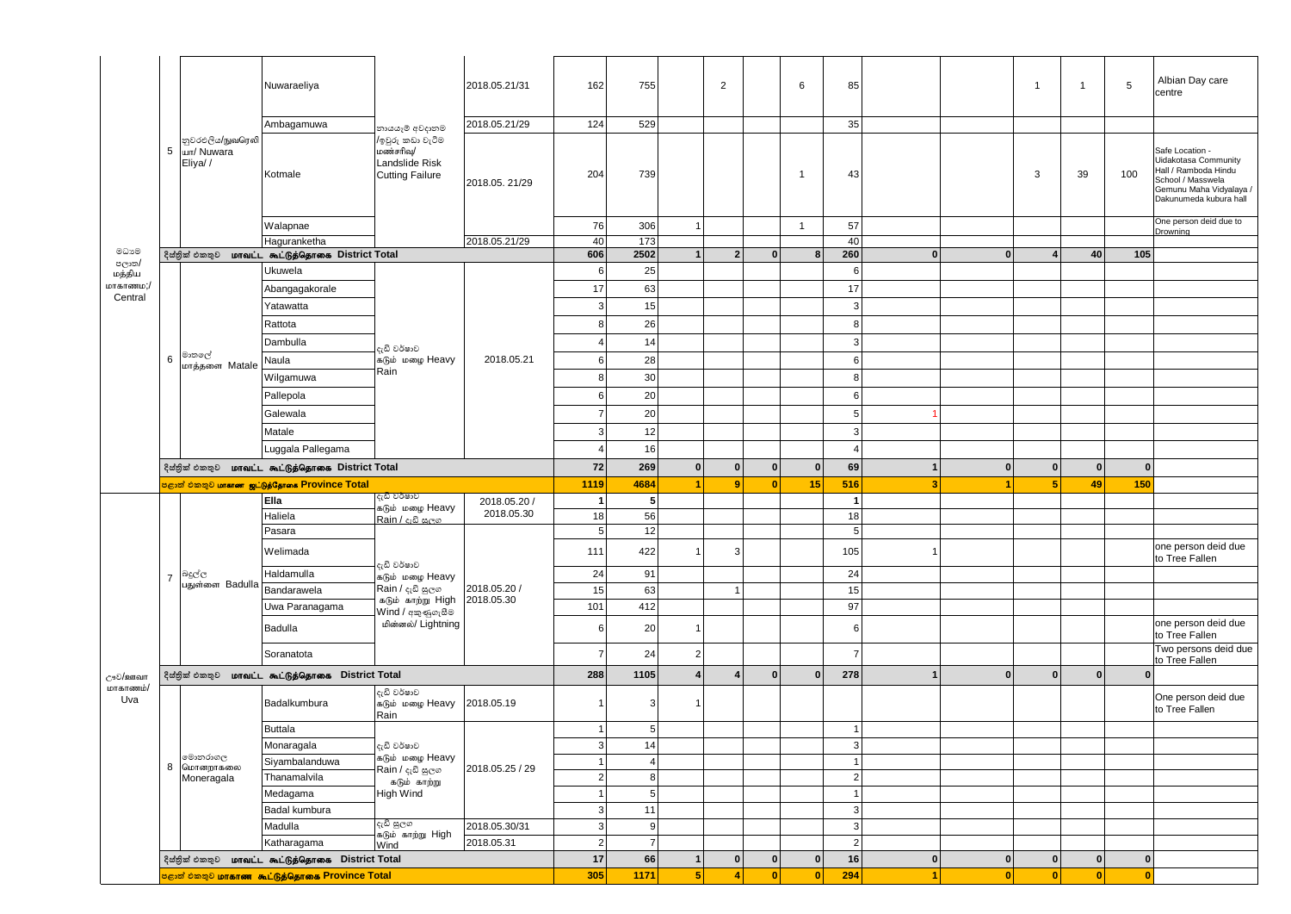|                    |                 |                                           | Nuwaraeliya                                                |                                                                           | 2018.05.21/31   | 162            | 755             |                         | $\overline{2}$          |              | 6                       | 85                      |                                  | $\mathbf{1}$     | $\mathbf{1}$ | Albian Day care<br>5<br>centre                                                                                                                   |  |
|--------------------|-----------------|-------------------------------------------|------------------------------------------------------------|---------------------------------------------------------------------------|-----------------|----------------|-----------------|-------------------------|-------------------------|--------------|-------------------------|-------------------------|----------------------------------|------------------|--------------|--------------------------------------------------------------------------------------------------------------------------------------------------|--|
|                    |                 |                                           | Ambagamuwa                                                 | නායයෑම් අවදානම                                                            | 2018.05.21/29   | 124            | 529             |                         |                         |              |                         | 35                      |                                  |                  |              |                                                                                                                                                  |  |
|                    | $5\overline{5}$ | නුවරඑලිය/நுவரெலி<br>шп/ Nuwara<br>Eliya// | Kotmale                                                    | /ඉවුරු කඩා වැටීම<br>மண்சரிவு/<br>Landslide Risk<br><b>Cutting Failure</b> | 2018.05.21/29   | 204            | 739             |                         |                         |              | $\overline{1}$          | 43                      |                                  | 3                | 39           | Safe Location -<br>Uidakotasa Community<br>Hall / Ramboda Hindu<br>100<br>School / Masswela<br>Gemunu Maha Vidyalaya /<br>Dakunumeda kubura hall |  |
|                    |                 |                                           | Walapnae                                                   |                                                                           |                 | 76             | 306             | 1                       |                         |              | $\overline{1}$          | 57                      |                                  |                  |              | One person deid due to                                                                                                                           |  |
|                    |                 |                                           | Haguranketha                                               |                                                                           | 2018.05.21/29   | 40             | 173             |                         |                         |              |                         | 40                      |                                  |                  |              | Drowning                                                                                                                                         |  |
| මධාවෙ              |                 |                                           | දිස්තුික් එකතුව <b>மாவட்ட கூட்டுத்தொகை District Total</b>  |                                                                           |                 | 606            | 2502            | $\mathbf{1}$            | $\overline{2}$          | $\Omega$     | 8                       | 260                     | $\bf{0}$<br>$\mathbf{0}$         | $\boldsymbol{4}$ | 40           | 105                                                                                                                                              |  |
| පලාත/<br>மத்திய    |                 |                                           | Ukuwela                                                    |                                                                           |                 | 6              | 25              |                         |                         |              |                         | 6                       |                                  |                  |              |                                                                                                                                                  |  |
| மாகாணம;/           |                 |                                           | Abangagakorale                                             |                                                                           |                 | 17             | 63              |                         |                         |              |                         | 17                      |                                  |                  |              |                                                                                                                                                  |  |
| Central            |                 |                                           | Yatawatta                                                  |                                                                           |                 | 3              | 15              |                         |                         |              |                         | 3                       |                                  |                  |              |                                                                                                                                                  |  |
|                    |                 |                                           | Rattota                                                    | දැඩි වර්ෂාව<br>கடும் மழை Heavy<br>Rain                                    |                 | 8              | 26              |                         |                         |              |                         | 8                       |                                  |                  |              |                                                                                                                                                  |  |
|                    |                 | මාතලේ<br>மாத்தளை Matale                   | Dambulla                                                   |                                                                           |                 | $\overline{4}$ | 14              |                         |                         |              |                         | 3                       |                                  |                  |              |                                                                                                                                                  |  |
|                    | 6               |                                           | Naula                                                      |                                                                           | 2018.05.21      | 6              | 28              |                         |                         |              |                         | 6                       |                                  |                  |              |                                                                                                                                                  |  |
|                    |                 |                                           | Wilgamuwa                                                  |                                                                           |                 | 8              | 30              |                         |                         |              |                         | 8                       |                                  |                  |              |                                                                                                                                                  |  |
|                    |                 |                                           | Pallepola                                                  |                                                                           |                 | 6              | 20              |                         |                         |              |                         | 6                       |                                  |                  |              |                                                                                                                                                  |  |
|                    |                 |                                           |                                                            |                                                                           |                 | $\overline{7}$ |                 |                         |                         |              |                         |                         |                                  |                  |              |                                                                                                                                                  |  |
|                    |                 |                                           | Galewala                                                   |                                                                           |                 |                | 20              |                         |                         |              |                         | 5                       |                                  |                  |              |                                                                                                                                                  |  |
|                    |                 |                                           | Matale                                                     |                                                                           |                 | 3              | 12              |                         |                         |              |                         | 3                       |                                  |                  |              |                                                                                                                                                  |  |
|                    |                 |                                           | Luggala Pallegama                                          |                                                                           |                 | $\overline{4}$ | 16              |                         |                         |              |                         | $\overline{4}$          |                                  |                  |              |                                                                                                                                                  |  |
|                    |                 |                                           | දිස්නික් එකතුව <b>மாவட்ட கூட்டுத்தொகை District Total</b>   | 72                                                                        | 269             | $\mathbf{0}$   | $\bf{0}$        | $\bf{0}$                | $\mathbf{0}$            | 69           | $\bf{0}$<br>$\mathbf 1$ | $\mathbf{0}$            | $\bf{0}$                         | $\bf{0}$         |              |                                                                                                                                                  |  |
|                    |                 |                                           | <mark>පළාත් එකතුව மாகாண ஜட்டுத்தோகை Province Total</mark>  | දැඩි වර්ෂාව                                                               |                 | 1119           | 4684            |                         | 9                       | $\mathbf{0}$ | 15                      | 516                     | 3 <sup>1</sup><br>$\overline{1}$ | 5 <sub>1</sub>   | 49           | 150                                                                                                                                              |  |
|                    |                 |                                           | Ella                                                       | கடும் மழை Heavy<br>Rain / දැඩි සලග<br>දැඩි වර්ෂාව                         | 2018.05.20 /    | $\overline{1}$ | 5               |                         |                         |              |                         | $\overline{\mathbf{1}}$ |                                  |                  |              |                                                                                                                                                  |  |
|                    |                 |                                           | Haliela                                                    |                                                                           | 2018.05.30      | 18<br>5        | 56<br>12        |                         |                         |              |                         | 18<br>5                 |                                  |                  |              |                                                                                                                                                  |  |
|                    |                 |                                           | Pasara                                                     |                                                                           |                 |                |                 |                         |                         |              |                         |                         |                                  |                  |              | one person deid due                                                                                                                              |  |
|                    |                 |                                           | Welimada                                                   |                                                                           |                 | 111            | 422             |                         | 3                       |              |                         | 105                     | -1                               |                  |              | to Tree Fallen                                                                                                                                   |  |
|                    | $\overline{7}$  | බදුල්ල<br>பதுள்ளை Badulla                 | Haldamulla                                                 | கடும் மழை Heavy<br>Rain / දැඩි සුලග                                       | 2018.05.20 /    | 24             | 91              |                         |                         |              |                         | 24                      |                                  |                  |              |                                                                                                                                                  |  |
|                    |                 |                                           | Bandarawela                                                | கடும் காற்று $High$                                                       | 2018.05.30      | 15             | 63              |                         | $\mathbf{1}$            |              |                         | 15                      |                                  |                  |              |                                                                                                                                                  |  |
|                    |                 |                                           | Uwa Paranagama<br>Badulla                                  | Wind / අකුණුගැසීම<br>மின்னல்/ Lightning                                   |                 | 101<br>6       | 412<br>20       | 1                       |                         |              |                         | 97<br>6                 |                                  |                  |              | one person deid due                                                                                                                              |  |
|                    |                 |                                           | Soranatota                                                 |                                                                           |                 | 7              | 24              | $\overline{2}$          |                         |              |                         | 7                       |                                  |                  |              | to Tree Fallen<br>Two persons deid due                                                                                                           |  |
|                    |                 |                                           | දිස්තික් එකතුව <b>மாவட்ட கூட்டுத்தொகை District Total</b>   |                                                                           |                 | 288            | 1105            | $\overline{\mathbf{4}}$ | $\overline{\mathbf{4}}$ | $\bf{0}$     | $\Omega$                | 278                     | $\bf{0}$<br>$\mathbf{1}$         | $\mathbf{0}$     | $\mathbf{0}$ | to Tree Fallen<br>$\mathbf{0}$                                                                                                                   |  |
| ூව/ஊவா<br>மாகாணம்/ |                 |                                           |                                                            |                                                                           |                 |                |                 |                         |                         |              |                         |                         |                                  |                  |              |                                                                                                                                                  |  |
| Uva                |                 |                                           | Badalkumbura                                               | දැඩි වර්ෂාව<br>கடும் மழை Heavy<br>Rain                                    | 2018.05.19      |                | 3               |                         |                         |              |                         |                         |                                  |                  |              | One person deid due<br>to Tree Fallen                                                                                                            |  |
|                    |                 |                                           | <b>Buttala</b>                                             |                                                                           |                 |                | $5\overline{5}$ |                         |                         |              |                         | $\mathbf 1$             |                                  |                  |              |                                                                                                                                                  |  |
|                    |                 |                                           | Monaragala                                                 | දැඩි වර්ෂාව                                                               |                 | 3              | 14              |                         |                         |              |                         | 3                       |                                  |                  |              |                                                                                                                                                  |  |
|                    |                 | මොනරාගල<br>8 மொனறாகலை                     | Siyambalanduwa                                             | கடும் மழை Heavy<br>Rain / දැඩි සුලග                                       | 2018.05.25 / 29 |                | 4               |                         |                         |              |                         | $\mathbf{1}$            |                                  |                  |              |                                                                                                                                                  |  |
|                    |                 | Moneragala                                | Thanamalvila                                               | கடும் காற்று                                                              |                 | $\overline{2}$ | $\bf{8}$        |                         |                         |              |                         | $\overline{2}$          |                                  |                  |              |                                                                                                                                                  |  |
|                    |                 |                                           | Medagama                                                   | High Wind                                                                 |                 |                | 5 <sub>5</sub>  |                         |                         |              |                         | $\overline{1}$          |                                  |                  |              |                                                                                                                                                  |  |
|                    |                 |                                           | Badal kumbura                                              |                                                                           |                 | $\mathbf{3}$   | 11              |                         |                         |              |                         | 3                       |                                  |                  |              |                                                                                                                                                  |  |
|                    |                 |                                           | Madulla                                                    | දැඩි සුලග<br>கடும் காற்று High                                            | 2018.05.30/31   | $\mathbf{3}$   | 9               |                         |                         |              |                         | $\mathbf{3}$            |                                  |                  |              |                                                                                                                                                  |  |
|                    |                 |                                           | Katharagama                                                | Wind                                                                      | 2018.05.31      | $\overline{2}$ | $\overline{7}$  |                         |                         |              |                         | $\overline{2}$          |                                  |                  |              |                                                                                                                                                  |  |
|                    |                 |                                           | දිස්තික් එකතුව <b>மாவட்ட கூட்டுத்தொகை District Total</b>   |                                                                           |                 | 17             | 66              | 1                       | $\mathbf{0}$            | $\mathbf{0}$ | $\mathbf 0$             | 16                      | $\mathbf{0}$<br>$\mathbf{0}$     | $\mathbf{0}$     | $\mathbf{0}$ | $\bf{0}$                                                                                                                                         |  |
|                    |                 |                                           | <mark>ு குறி பிறை மாகாண கூட்டுத்தொகை Province Total</mark> |                                                                           |                 | 305            | 1171            | 5 <sup>1</sup>          | $\overline{a}$          | $\mathbf{0}$ | $\overline{0}$          | 294                     | 0 <br>$\blacktriangleleft$       | 0                | 0            | $\mathbf{0}$                                                                                                                                     |  |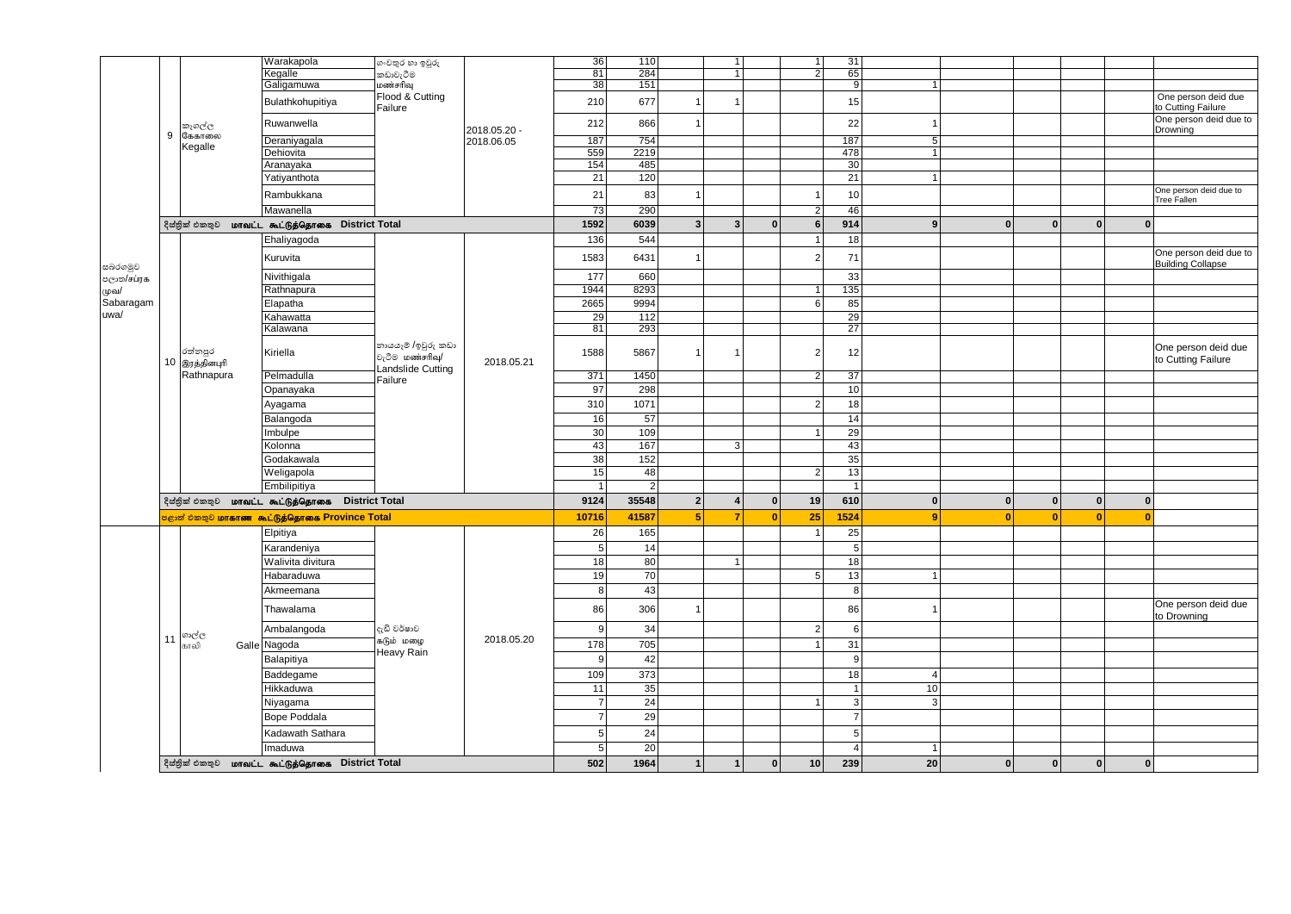|            |                                                                                                                            |                | Warakapola                                               |                      |              |                                                        | 110            |                         | $\mathbf{1}$            |                    | 1                | 31             |                 |              |              |                              |                                                    |
|------------|----------------------------------------------------------------------------------------------------------------------------|----------------|----------------------------------------------------------|----------------------|--------------|--------------------------------------------------------|----------------|-------------------------|-------------------------|--------------------|------------------|----------------|-----------------|--------------|--------------|------------------------------|----------------------------------------------------|
|            |                                                                                                                            |                | Kegalle                                                  | ගංවතුර හා ඉවුරු      |              | 36<br>81                                               | 284            |                         | 1                       |                    | $\overline{2}$   | 65             |                 |              |              |                              |                                                    |
|            |                                                                                                                            |                |                                                          | කඩාවැටීම<br>மண்சரிவு |              | 38                                                     | 151            |                         |                         |                    |                  | 9              | 1               |              |              |                              |                                                    |
|            |                                                                                                                            |                | Galigamuwa                                               | Flood & Cutting      |              |                                                        |                |                         |                         |                    |                  |                |                 |              |              |                              |                                                    |
|            |                                                                                                                            |                | Bulathkohupitiya                                         | Failure              |              | 210                                                    | 677            | $\overline{1}$          |                         |                    |                  | 15             |                 |              |              |                              | One person deid due<br>to Cutting Failure          |
|            |                                                                                                                            | කෑගල්ල         | Ruwanwella                                               |                      | 2018.05.20 - | 212                                                    | 866            | $\overline{1}$          |                         |                    |                  | 22             |                 |              |              |                              | One person deid due to<br>Drowning                 |
|            | 9                                                                                                                          | கேகாலை         | Deraniyagala                                             |                      | 2018.06.05   | 187                                                    | 754            |                         |                         |                    |                  | 187            | 5 <sup>1</sup>  |              |              |                              |                                                    |
|            |                                                                                                                            | Kegalle        | Dehiovita                                                |                      |              | 559                                                    | 2219           |                         |                         |                    |                  | 478            | $\mathbf{1}$    |              |              |                              |                                                    |
|            |                                                                                                                            |                | Aranayaka                                                |                      |              | 154                                                    | 485            |                         |                         |                    |                  | 30             |                 |              |              |                              |                                                    |
|            |                                                                                                                            |                | Yatiyanthota                                             |                      |              | 21                                                     | 120            |                         |                         |                    |                  | 21             |                 |              |              |                              |                                                    |
|            |                                                                                                                            |                | Rambukkana                                               |                      |              | 21                                                     | 83             | $\overline{1}$          |                         |                    | $\mathbf{1}$     | 10             |                 |              |              |                              | One person deid due to<br><b>Tree Fallen</b>       |
|            |                                                                                                                            |                | Mawanella                                                |                      |              | 73                                                     | 290            |                         |                         |                    | $\overline{2}$   | 46             |                 |              |              |                              |                                                    |
|            |                                                                                                                            |                | දිස්තික් එකතුව <b>மாவட்ட கூட்டுத்தொகை District Total</b> |                      |              | 1592                                                   | 6039           | $\overline{\mathbf{3}}$ | $\overline{\mathbf{3}}$ | $\mathbf{0}$       | 6                | 914            | 9               | $\mathbf{0}$ | $\bf{0}$     | $\mathbf{0}$<br>$\Omega$     |                                                    |
|            |                                                                                                                            |                |                                                          |                      |              | 136                                                    | 544            |                         |                         |                    | $\mathbf{1}$     |                |                 |              |              |                              |                                                    |
|            |                                                                                                                            |                | Ehaliyagoda                                              |                      |              |                                                        |                |                         |                         |                    |                  | 18             |                 |              |              |                              |                                                    |
| සබරගමුව    |                                                                                                                            |                | Kuruvita                                                 |                      |              | 1583                                                   | 6431           | $\overline{1}$          |                         |                    | $\overline{2}$   | 71             |                 |              |              |                              | One person deid due to<br><b>Building Collapse</b> |
| පලාත/சப்ரக |                                                                                                                            |                | Nivithigala                                              |                      |              | 177                                                    | 660            |                         |                         |                    |                  | 33             |                 |              |              |                              |                                                    |
| முவ/       |                                                                                                                            |                | Rathnapura                                               |                      |              | 1944                                                   | 8293           |                         |                         |                    | 1                | 135            |                 |              |              |                              |                                                    |
| Sabaragam  |                                                                                                                            |                | Elapatha                                                 |                      |              | 2665                                                   | 9994           |                         |                         |                    | 6                | 85             |                 |              |              |                              |                                                    |
| uwa/       |                                                                                                                            |                | Kahawatta                                                |                      |              | 29                                                     | 112            |                         |                         |                    |                  | 29             |                 |              |              |                              |                                                    |
|            |                                                                                                                            |                | Kalawana                                                 |                      |              | 81                                                     | 293            |                         |                         |                    |                  | 27             |                 |              |              |                              |                                                    |
|            |                                                                                                                            |                |                                                          | නායයෑම /ඉවුරු කඩා    |              |                                                        |                |                         |                         |                    |                  |                |                 |              |              |                              | One person deid due                                |
|            |                                                                                                                            | රත්නපුර        | Kiriella                                                 | වැටීම மண்சரிவு/      |              | 5867<br>1588<br>12<br>$\overline{1}$<br>$\overline{2}$ |                |                         |                         | to Cutting Failure |                  |                |                 |              |              |                              |                                                    |
|            |                                                                                                                            | 10 இரத்தினபுரி |                                                          | Landslide Cutting    | 2018.05.21   |                                                        |                |                         |                         |                    |                  |                |                 |              |              |                              |                                                    |
|            |                                                                                                                            | Rathnapura     | Pelmadulla                                               | Failure              |              | 371                                                    | 1450           |                         |                         |                    | $\overline{2}$   | 37             |                 |              |              |                              |                                                    |
|            |                                                                                                                            |                | Opanayaka                                                |                      |              | 97                                                     | 298            |                         |                         |                    |                  | 10             |                 |              |              |                              |                                                    |
|            |                                                                                                                            |                | Ayagama                                                  |                      |              | 310                                                    | 1071           |                         |                         |                    | $\left  \right $ | 18             |                 |              |              |                              |                                                    |
|            |                                                                                                                            |                | Balangoda                                                |                      |              | 16                                                     | 57             |                         |                         |                    |                  | 14             |                 |              |              |                              |                                                    |
|            |                                                                                                                            |                | Imbulpe                                                  |                      |              | 30                                                     | 109            |                         |                         |                    | 1                | 29             |                 |              |              |                              |                                                    |
|            |                                                                                                                            |                | Kolonna                                                  |                      |              | 43                                                     | 167            |                         | $\mathbf{3}$            |                    |                  | 43             |                 |              |              |                              |                                                    |
|            |                                                                                                                            |                | Godakawala                                               |                      |              | 38                                                     | 152            |                         |                         |                    |                  | 35             |                 |              |              |                              |                                                    |
|            |                                                                                                                            |                | Weligapola                                               |                      |              | 15                                                     | 48             |                         |                         |                    | $\overline{2}$   | 13             |                 |              |              |                              |                                                    |
|            |                                                                                                                            |                | Embilipitiya                                             |                      |              | $\overline{1}$                                         | $\overline{2}$ |                         |                         |                    |                  | $\mathbf{1}$   |                 |              |              |                              |                                                    |
|            |                                                                                                                            |                |                                                          |                      |              | 9124                                                   | 35548          | $\overline{2}$          | $\overline{4}$          | $\mathbf{0}$       | 19               | 610            | $\mathbf{0}$    | $\mathbf{0}$ | $\mathbf 0$  | $\mathbf{0}$<br>$\mathbf{0}$ |                                                    |
|            | <b>District Total</b><br>දිස්තික් එකතුව <b>மாவட்ட கூட்டுத்தொகை</b><br>පළාත් එකතුව <b>மாகாண கூட்டுத்தொகை Province Total</b> |                |                                                          |                      |              |                                                        |                |                         | $\overline{7}$          |                    |                  |                | 9               |              |              |                              |                                                    |
|            |                                                                                                                            |                |                                                          |                      |              | 10716                                                  | 41587          | $5\phantom{1}$          |                         | $\bf{0}$           | 25               | 1524           |                 | $\mathbf{0}$ | 0            | $\mathbf{0}$<br>$\mathbf{0}$ |                                                    |
|            |                                                                                                                            |                | Elpitiya                                                 |                      |              | 26                                                     | 165            |                         |                         |                    | $\mathbf{1}$     | 25             |                 |              |              |                              |                                                    |
|            |                                                                                                                            |                | Karandeniya                                              |                      |              | 5 <sub>l</sub>                                         | 14             |                         |                         |                    |                  | 5              |                 |              |              |                              |                                                    |
|            |                                                                                                                            |                | Walivita divitura                                        |                      |              | 18                                                     | 80             |                         | $\mathbf{1}$            |                    |                  | 18             |                 |              |              |                              |                                                    |
|            |                                                                                                                            |                | Habaraduwa                                               |                      |              | 19                                                     | 70             |                         |                         |                    | 5 <sup>1</sup>   | 13             | 1               |              |              |                              |                                                    |
|            |                                                                                                                            |                | Akmeemana                                                |                      |              | 8                                                      | 43             |                         |                         |                    |                  | 8              |                 |              |              |                              |                                                    |
|            |                                                                                                                            |                | Thawalama                                                |                      |              | 86                                                     | 306            | $\overline{1}$          |                         |                    |                  | 86             |                 |              |              |                              | One person deid due                                |
|            |                                                                                                                            |                | Ambalangoda                                              | දැඩි වර්ෂාව          |              | -9                                                     | 34             |                         |                         |                    | $\vert$ 2        | 6              |                 |              |              |                              | to Drowning                                        |
|            | 11                                                                                                                         | ගාල්ල<br>காலி  | Galle Nagoda                                             | கடும் மழை            | 2018.05.20   | 178                                                    | 705            |                         |                         |                    | 1                | 31             |                 |              |              |                              |                                                    |
|            |                                                                                                                            |                | Balapitiya                                               | Heavy Rain           |              | 9                                                      | 42             |                         |                         |                    |                  | 9              |                 |              |              |                              |                                                    |
|            |                                                                                                                            |                |                                                          |                      |              |                                                        |                |                         |                         |                    |                  |                |                 |              |              |                              |                                                    |
|            |                                                                                                                            |                | Baddegame                                                |                      |              | 109                                                    | 373            |                         |                         |                    |                  | 18             | 4               |              |              |                              |                                                    |
|            |                                                                                                                            |                | Hikkaduwa                                                |                      |              | 11                                                     | 35             |                         |                         |                    |                  |                | 10              |              |              |                              |                                                    |
|            |                                                                                                                            |                | Niyagama                                                 |                      |              | $\overline{7}$                                         | 24             |                         |                         |                    | 1                | 3              | $\overline{3}$  |              |              |                              |                                                    |
|            |                                                                                                                            |                | <b>Bope Poddala</b>                                      |                      |              | $\overline{7}$                                         | 29             |                         |                         |                    |                  | $\overline{7}$ |                 |              |              |                              |                                                    |
|            |                                                                                                                            |                | Kadawath Sathara                                         |                      |              | 5 <sup>1</sup>                                         | 24             |                         |                         |                    |                  | 5              |                 |              |              |                              |                                                    |
|            |                                                                                                                            |                | Imaduwa                                                  |                      |              | 5 <sup>1</sup>                                         | 20             |                         |                         |                    |                  | $\overline{4}$ | $\mathbf{1}$    |              |              |                              |                                                    |
|            |                                                                                                                            |                |                                                          |                      |              |                                                        |                |                         |                         |                    |                  |                |                 |              |              |                              |                                                    |
|            |                                                                                                                            | දිස්තික් එකතුව | மாவட்ட கூட்டுத்தொகை District Total                       |                      |              | 502                                                    | 1964           | 1                       | $\mathbf{1}$            | $\mathbf{0}$       | 10 <sup>1</sup>  | 239            | 20 <sup>1</sup> | $\mathbf{0}$ | $\mathbf{0}$ | $\mathbf{0}$<br>$\mathbf{0}$ |                                                    |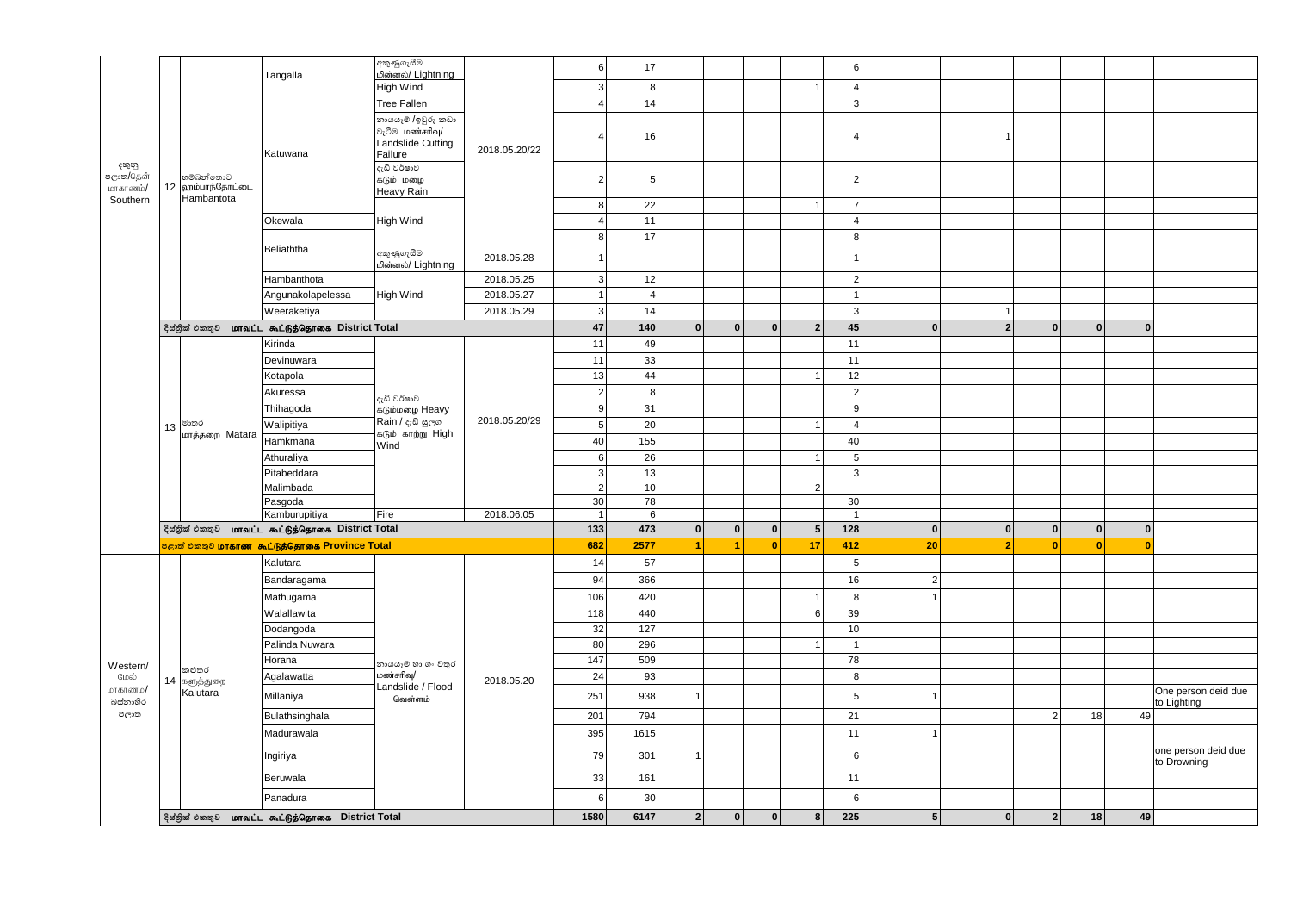|                                |                                  |                                                                         | අකුණුගැසීම                                                                  |               | 6                      | 17                   |                |              |              |                  | 6                        |                |                |                |             |              |                                    |
|--------------------------------|----------------------------------|-------------------------------------------------------------------------|-----------------------------------------------------------------------------|---------------|------------------------|----------------------|----------------|--------------|--------------|------------------|--------------------------|----------------|----------------|----------------|-------------|--------------|------------------------------------|
|                                |                                  | Tangalla                                                                | மின்னல்/ Lightning<br><b>High Wind</b>                                      |               | 3                      | 8                    |                |              |              | $\mathbf{1}$     | $\overline{4}$           |                |                |                |             |              |                                    |
|                                |                                  |                                                                         | <b>Tree Fallen</b>                                                          |               | $\overline{4}$         | 14                   |                |              |              |                  | 3                        |                |                |                |             |              |                                    |
|                                |                                  | Katuwana                                                                | නායයෑම /ඉවුරු කඩා<br>වැටීම மண்சரிவு/<br><b>Landslide Cutting</b><br>Failure | 2018.05.20/22 | 4                      | 16                   |                |              |              |                  | $\Delta$                 |                | $\overline{1}$ |                |             |              |                                    |
| දකුනු<br>පලාක/தென்<br>மாகாணம்/ | හම්බන්තොට<br>12<br>ஹம்பாந்தோட்டை |                                                                         | දැඩි වර්ෂාව<br>கடும் மழை<br><b>Heavy Rain</b>                               |               | $\overline{2}$         | 5                    |                |              |              |                  | 2                        |                |                |                |             |              |                                    |
| Southern                       | Hambantota                       |                                                                         |                                                                             |               | 8 <sup>1</sup>         | 22                   |                |              |              | $\mathbf{1}$     | $\overline{7}$           |                |                |                |             |              |                                    |
|                                |                                  | Okewala                                                                 | High Wind                                                                   |               | $\vert$ 4              | 11                   |                |              |              |                  | $\overline{4}$           |                |                |                |             |              |                                    |
|                                |                                  |                                                                         |                                                                             |               | 8 <sup>1</sup>         | 17                   |                |              |              |                  | 8                        |                |                |                |             |              |                                    |
|                                |                                  | Beliaththa                                                              | අකුණුගැසීම<br>மின்னல்/ Lightning                                            | 2018.05.28    | $\mathbf{1}$           |                      |                |              |              |                  |                          |                |                |                |             |              |                                    |
|                                |                                  | Hambanthota                                                             |                                                                             | 2018.05.25    | 3 <sup>1</sup>         | 12                   |                |              |              |                  | $\overline{2}$           |                |                |                |             |              |                                    |
|                                |                                  | Angunakolapelessa                                                       | High Wind                                                                   | 2018.05.27    | $\overline{1}$         | $\overline{4}$       |                |              |              |                  |                          |                |                |                |             |              |                                    |
|                                |                                  | Weeraketiya                                                             |                                                                             | 2018.05.29    | 3                      | 14                   |                |              |              |                  | 3                        |                | $\mathbf{1}$   |                |             |              |                                    |
|                                |                                  | දිස්තුික් එකතුව <b>மாவட்ட கூட்டுத்தொகை District Total</b>               |                                                                             |               | 47                     | 140                  | $\mathbf{0}$   | $\mathbf{0}$ | $\mathbf 0$  | $\overline{2}$   | 45                       | $\mathbf{0}$   | $\overline{2}$ | $\mathbf{0}$   | $\mathbf 0$ | $\mathbf{0}$ |                                    |
|                                |                                  | Kirinda                                                                 |                                                                             |               | 11                     | 49                   |                |              |              |                  | 11                       |                |                |                |             |              |                                    |
|                                |                                  | Devinuwara                                                              |                                                                             |               | 11                     | 33                   |                |              |              |                  | 11                       |                |                |                |             |              |                                    |
|                                |                                  | Kotapola                                                                |                                                                             |               | 13                     | 44                   |                |              |              | $\mathbf{1}$     | 12                       |                |                |                |             |              |                                    |
|                                |                                  | Akuressa                                                                | දැඩි වර්ෂාව                                                                 |               | $\overline{2}$         | 8                    |                |              |              |                  | $\overline{2}$           |                |                |                |             |              |                                    |
|                                |                                  | Thihagoda                                                               | கடும்மழை Heavy                                                              |               | 9                      | 31                   |                |              |              |                  | <sub>9</sub>             |                |                |                |             |              |                                    |
|                                | මාතර<br>13<br>மாத்தறை Matara     | Walipitiya                                                              | Rain / දැඩි සුලග<br>கடும் காற்று High                                       | 2018.05.20/29 | 5 <sup>1</sup>         | 20                   |                |              |              | $\mathbf{1}$     | $\overline{\mathcal{A}}$ |                |                |                |             |              |                                    |
|                                |                                  | Hamkmana                                                                | Wind                                                                        |               | 40                     | 155                  |                |              |              |                  | 40                       |                |                |                |             |              |                                    |
|                                |                                  | Athuraliya                                                              |                                                                             |               | 6                      | 26                   |                |              |              | $\mathbf{1}$     | 5                        |                |                |                |             |              |                                    |
|                                |                                  | Pitabeddara                                                             |                                                                             |               | 3 <sup>1</sup>         | 13                   |                |              |              |                  | 3                        |                |                |                |             |              |                                    |
|                                |                                  | Malimbada                                                               |                                                                             |               | $\left  \right $       | 10                   |                |              |              | 2 <sup>1</sup>   |                          |                |                |                |             |              |                                    |
|                                |                                  | Pasgoda<br>Kamburupitiya                                                | Fire                                                                        | 2018.06.05    | $30\,$<br>$\mathbf{1}$ | 78<br>6              |                |              |              |                  | 30<br>$\overline{1}$     |                |                |                |             |              |                                    |
|                                |                                  | දිස්තුික් එකතුව <b>மாவட்ட கூட்டுத்தொகை District Total</b>               |                                                                             |               | 133                    | 473                  | $\mathbf 0$    | $\mathbf{0}$ | $\mathbf{0}$ | 5 <sup>1</sup>   | 128                      | $\mathbf{0}$   | $\mathbf{0}$   | 0              | $\mathbf 0$ | $\mathbf 0$  |                                    |
|                                |                                  | <mark>පළාත් එකතුව <mark>மாகாண கூட்டுத்தொகை Province Total</mark></mark> | 682                                                                         | 2577          | $\overline{1}$         | $\blacktriangleleft$ | $\mathbf{0}$   | 17           | 412          | 20               | $\overline{2}$           | $\mathbf{0}$   | $\mathbf{0}$   | $\mathbf{0}$   |             |              |                                    |
|                                |                                  | Kalutara                                                                |                                                                             |               | 14                     | 57                   |                |              |              |                  | 5                        |                |                |                |             |              |                                    |
|                                |                                  | Bandaragama                                                             |                                                                             |               | 94                     | 366                  |                |              |              |                  | 16                       | $\overline{2}$ |                |                |             |              |                                    |
|                                |                                  | Mathugama                                                               |                                                                             |               | 106                    | 420                  |                |              |              | $\mathbf{1}$     | $\mathsf{R}$             | $\mathbf{1}$   |                |                |             |              |                                    |
|                                |                                  | Walallawita                                                             |                                                                             |               | 118                    | 440                  |                |              |              | $6 \overline{6}$ | 39                       |                |                |                |             |              |                                    |
|                                |                                  | Dodangoda                                                               |                                                                             |               | 32                     | 127                  |                |              |              |                  | 10                       |                |                |                |             |              |                                    |
|                                |                                  | Palinda Nuwara                                                          |                                                                             |               | 80                     | 296                  |                |              |              | $\mathbf{1}$     |                          |                |                |                |             |              |                                    |
|                                |                                  | Horana                                                                  | නායයෑම් හා ගං වතුර                                                          |               | 147                    | 509                  |                |              |              |                  | 78                       |                |                |                |             |              |                                    |
| Western/<br>மேல்               | කළුතර<br>14 களுத்துறை            | Agalawatta                                                              | மண்சரிவு/                                                                   | 2018.05.20    | 24                     | 93                   |                |              |              |                  | 8                        |                |                |                |             |              |                                    |
| மாகாணம/                        | Kalutara                         | Millaniya                                                               | Landslide / Flood                                                           |               | 251                    | 938                  | $\overline{1}$ |              |              |                  | -5                       |                |                |                |             |              | One person deid due                |
| බස්නාහිර<br>පලාත               |                                  |                                                                         | வெள்ளம்                                                                     |               |                        |                      |                |              |              |                  |                          |                |                |                |             |              | to Lighting                        |
|                                |                                  | Bulathsinghala                                                          |                                                                             |               | 201                    | 794                  |                |              |              |                  | 21                       |                |                | $\overline{2}$ | 18          | 49           |                                    |
|                                |                                  | Madurawala                                                              |                                                                             |               | 395                    | 1615                 |                |              |              |                  | 11                       |                |                |                |             |              |                                    |
|                                |                                  | Ingiriya                                                                |                                                                             |               | 79                     | 301                  | $\overline{1}$ |              |              |                  | -6                       |                |                |                |             |              | one person deid due<br>to Drowning |
|                                |                                  | Beruwala                                                                |                                                                             |               | 33                     | 161                  |                |              |              |                  | 11                       |                |                |                |             |              |                                    |
|                                |                                  | Panadura                                                                |                                                                             |               | 6                      | 30                   |                |              |              |                  | -6                       |                |                |                |             |              |                                    |
|                                |                                  | දිස්තුික් එකතුව <b>மாவட்ட கூட்டுத்தொகை District Total</b>               |                                                                             |               | 1580                   | 6147                 | $\overline{2}$ | $\mathbf{0}$ | $\mathbf{0}$ | 8 <sup>1</sup>   | 225                      | 5 <sub>1</sub> | $\mathbf{0}$   | $2 \vert$      | 18          | 49           |                                    |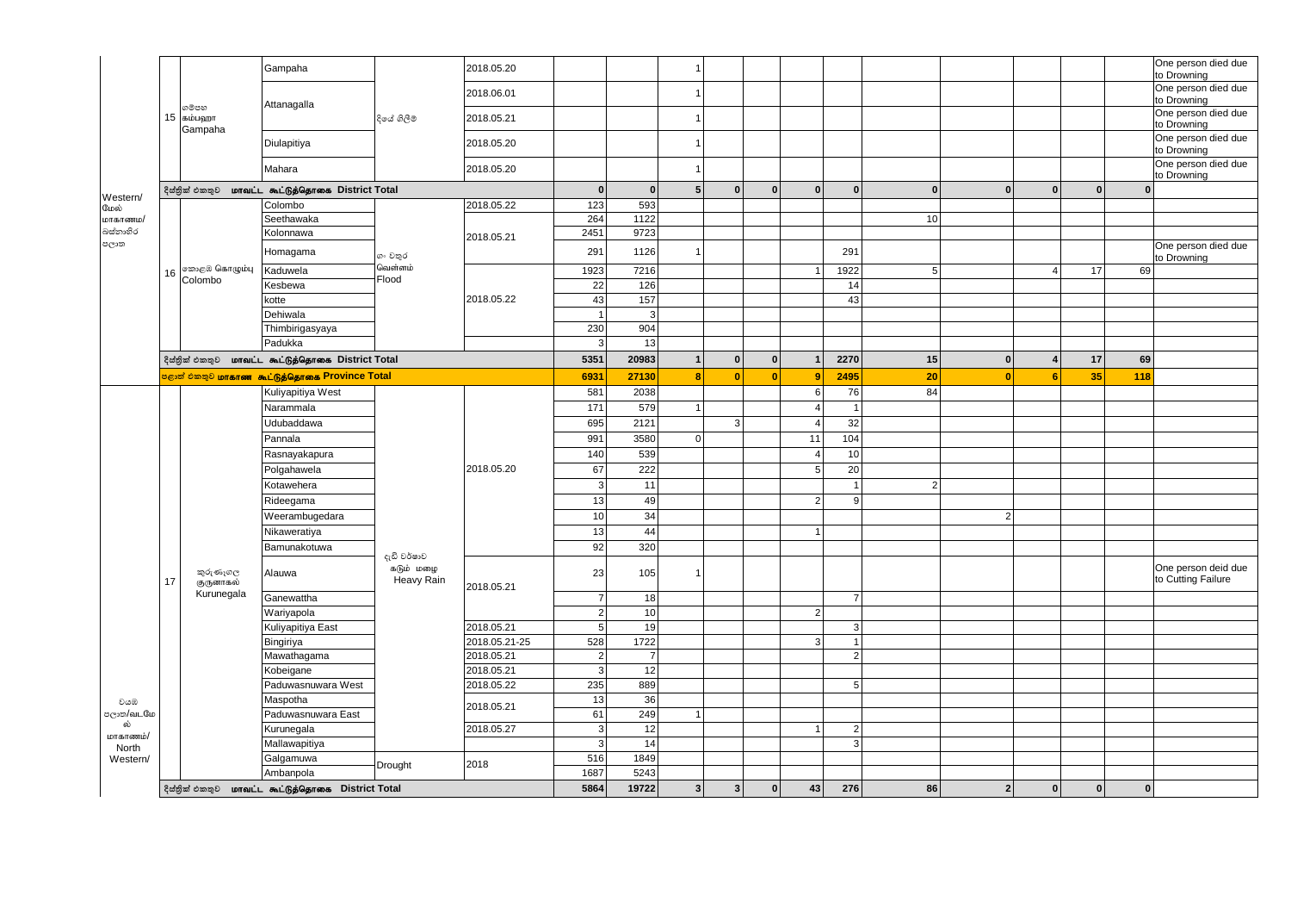|                   |                                                      |                                                           | Gampaha                            |                          | 2018.05.20               |                                    |                      |                |              |              |                |                |                |                |                |              |    | One person died due<br>to Drowning |
|-------------------|------------------------------------------------------|-----------------------------------------------------------|------------------------------------|--------------------------|--------------------------|------------------------------------|----------------------|----------------|--------------|--------------|----------------|----------------|----------------|----------------|----------------|--------------|----|------------------------------------|
|                   |                                                      |                                                           |                                    |                          | 2018.06.01               |                                    |                      | $\overline{1}$ |              |              |                |                |                |                |                |              |    | One person died due<br>to Drowning |
|                   | 15                                                   | ගම්පහ<br>கம்பஹா                                           | Attanagalla                        | දියේ ගිලීම               | 2018.05.21               |                                    |                      | $\overline{1}$ |              |              |                |                |                |                |                |              |    | One person died due<br>to Drowning |
|                   |                                                      | Gampaha                                                   | Diulapitiya                        |                          | 2018.05.20               |                                    |                      | $\overline{1}$ |              |              |                |                |                |                |                |              |    | One person died due<br>to Drowning |
|                   |                                                      |                                                           | Mahara                             |                          | 2018.05.20               |                                    |                      | $\overline{1}$ |              |              |                |                |                |                |                |              |    | One person died due<br>to Drowning |
|                   |                                                      | දිස්තික් එකතුව                                            | மாவட்ட கூட்டுத்தொகை District Total |                          |                          | $\mathbf{0}$                       | $\mathbf{0}$         | $5\phantom{1}$ | $\mathbf{0}$ | $\mathbf{0}$ | $\mathbf{0}$   | $\mathbf{0}$   | $\mathbf{0}$   | $\mathbf{0}$   | $\bf{0}$       | $\mathbf{0}$ |    | $\mathbf{0}$                       |
| Western/<br>மேல்  |                                                      |                                                           | Colombo                            |                          | 2018.05.22               | 123                                | 593                  |                |              |              |                |                |                |                |                |              |    |                                    |
| மாகாணம/           |                                                      |                                                           | Seethawaka                         |                          |                          | 264                                | 1122                 |                |              |              |                |                | 10             |                |                |              |    |                                    |
| බස්නාහිර          |                                                      |                                                           | Kolonnawa                          |                          | 2018.05.21               | 2451                               | 9723                 |                |              |              |                |                |                |                |                |              |    |                                    |
| පලාත              |                                                      |                                                           | Homagama                           | ගං වතුර                  |                          | 291                                | 1126                 | $\overline{1}$ |              |              |                | 291            |                |                |                |              |    | One person died due<br>to Drowning |
|                   | 16                                                   | ை@ கொழும்பு                                               | Kaduwela                           | வெள்ளம்<br>Flood         |                          | 1923                               | 7216                 |                |              |              | $\overline{1}$ | 1922           | 5 <sup>1</sup> |                | $\overline{4}$ | 17           | 69 |                                    |
|                   |                                                      | Colombo                                                   | Kesbewa                            |                          |                          | 22                                 | 126                  |                |              |              |                | 14             |                |                |                |              |    |                                    |
|                   |                                                      |                                                           | kotte                              |                          | 2018.05.22               | 43                                 | 157                  |                |              |              |                | 43             |                |                |                |              |    |                                    |
|                   |                                                      |                                                           | Dehiwala                           |                          |                          | $\overline{1}$                     | 3                    |                |              |              |                |                |                |                |                |              |    |                                    |
|                   |                                                      |                                                           | Thimbirigasyaya                    |                          |                          | 230                                | 904                  |                |              |              |                |                |                |                |                |              |    |                                    |
|                   |                                                      |                                                           | Padukka                            |                          |                          | $\vert$ 3                          | 13                   |                |              |              |                |                |                |                |                |              |    |                                    |
|                   | மாவட்ட கூட்டுத்தொகை District Total<br>දිස්තික් එකතුව |                                                           |                                    |                          |                          |                                    | 20983                | $\mathbf{1}$   | $\mathbf{0}$ | $\mathbf{0}$ | $\mathbf{1}$   | 2270           | 15             | $\mathbf{0}$   | Δ              | 17           | 69 |                                    |
|                   |                                                      | <b>்குற் சிறை மாகாண கூட்டுத்தொகை Province Total</b>       | 6931                               | 27130                    | 8                        | $\mathbf{0}$                       | $\mathbf{0}$         | 9              | 2495         | 20           | $\mathbf{0}$   | 6              | 35             | 118            |                |              |    |                                    |
|                   |                                                      |                                                           | Kuliyapitiya West                  |                          |                          | 581                                | 2038                 |                |              |              | $6 \mid$       | 76             | 84             |                |                |              |    |                                    |
|                   |                                                      |                                                           | Narammala                          |                          | 2018.05.20               | 171                                | 579                  | $\overline{1}$ |              |              | $\overline{4}$ | $\mathbf{1}$   |                |                |                |              |    |                                    |
|                   |                                                      |                                                           | Udubaddawa                         |                          |                          | 695                                | 2121                 |                | 3            |              | $\overline{4}$ | 32             |                |                |                |              |    |                                    |
|                   |                                                      |                                                           | Pannala                            |                          |                          | 991                                | 3580                 | $\mathbf 0$    |              |              | 11             | 104            |                |                |                |              |    |                                    |
|                   |                                                      |                                                           | Rasnayakapura                      |                          |                          | 140                                | 539                  |                |              |              | $\overline{4}$ | 10             |                |                |                |              |    |                                    |
|                   |                                                      |                                                           | Polgahawela                        |                          |                          | 67                                 | 222                  |                |              |              | 5 <sup>1</sup> | 20             |                |                |                |              |    |                                    |
|                   |                                                      |                                                           | Kotawehera                         |                          |                          | $\mathbf{3}$                       | 11                   |                |              |              |                |                | $\overline{2}$ |                |                |              |    |                                    |
|                   |                                                      |                                                           | Rideegama                          |                          |                          | 13                                 | 49                   |                |              |              | $\overline{2}$ | 9              |                |                |                |              |    |                                    |
|                   |                                                      |                                                           | Weerambugedara                     |                          |                          | 10 <sup>1</sup>                    | 34                   |                |              |              |                |                |                | $\overline{2}$ |                |              |    |                                    |
|                   |                                                      |                                                           | Nikaweratiya                       |                          |                          | 13                                 | 44                   |                |              |              | $\overline{1}$ |                |                |                |                |              |    |                                    |
|                   |                                                      |                                                           | Bamunakotuwa                       |                          |                          | 92                                 | 320                  |                |              |              |                |                |                |                |                |              |    |                                    |
|                   |                                                      |                                                           |                                    | දැඩි වර්ෂාව<br>கடும் மழை |                          |                                    |                      | $\overline{1}$ |              |              |                |                |                |                |                |              |    | One person deid due                |
|                   | 17                                                   | කුරුණෑගල<br>குருனாகல்<br>Kurunegala                       | Alauwa                             | Heavy Rain               | 2018.05.21               | 23                                 | 105                  |                |              |              |                |                |                |                |                |              |    | to Cutting Failure                 |
|                   |                                                      |                                                           | Ganewattha                         |                          |                          | $\overline{7}$                     | 18                   |                |              |              |                | $\overline{7}$ |                |                |                |              |    |                                    |
|                   |                                                      |                                                           | Wariyapola                         |                          |                          | $2 \vert$                          | 10                   |                |              |              | 2              |                |                |                |                |              |    |                                    |
|                   |                                                      |                                                           | Kuliyapitiya East                  |                          | 2018.05.21               | 5 <sup>1</sup>                     | 19                   |                |              |              | $\overline{3}$ | 3 <sup>1</sup> |                |                |                |              |    |                                    |
|                   |                                                      |                                                           | Bingiriya                          |                          | 2018.05.21-25            | 528                                | 1722                 |                |              |              |                | 1              |                |                |                |              |    |                                    |
|                   |                                                      |                                                           | Mawathagama                        |                          | 2018.05.21<br>2018.05.21 | $\left  \right $<br>$\overline{3}$ | $\overline{7}$<br>12 |                |              |              |                | $\overline{2}$ |                |                |                |              |    |                                    |
|                   |                                                      |                                                           | Kobeigane                          |                          | 2018.05.22               | 235                                | 889                  |                |              |              |                | 5 <sub>1</sub> |                |                |                |              |    |                                    |
|                   |                                                      |                                                           | Paduwasnuwara West                 |                          |                          |                                    |                      |                |              |              |                |                |                |                |                |              |    |                                    |
| වයඹ<br>පලාත/வ∟மே  |                                                      |                                                           | Maspotha<br>Paduwasnuwara East     |                          | 2018.05.21               | 13<br>61                           | 36<br>249            | $\mathbf{1}$   |              |              |                |                |                |                |                |              |    |                                    |
| ல்                |                                                      |                                                           | Kurunegala                         |                          | 2018.05.27               | $\mathbf{3}$                       | 12                   |                |              |              | $\overline{1}$ | $\overline{2}$ |                |                |                |              |    |                                    |
| மாகாணம்/          |                                                      |                                                           |                                    |                          |                          | $\mathbf{3}$                       | 14                   |                |              |              |                | $\overline{3}$ |                |                |                |              |    |                                    |
| North<br>Western/ |                                                      |                                                           | Mallawapitiya<br>Galgamuwa         |                          |                          | 516                                | 1849                 |                |              |              |                |                |                |                |                |              |    |                                    |
|                   |                                                      |                                                           | Ambanpola                          | Drought                  | 2018                     | 1687                               | 5243                 |                |              |              |                |                |                |                |                |              |    |                                    |
|                   |                                                      | දිස්තුික් එකතුව <b>மாவட்ட கூட்டுத்தொகை District Total</b> |                                    |                          |                          | 5864                               | 19722                | $\mathbf{3}$   | $\mathbf{3}$ | $\mathbf{0}$ | 43             | 276            | 86             | $\overline{2}$ | $\mathbf{0}$   | $\mathbf{0}$ |    | $\mathbf{0}$                       |
|                   |                                                      |                                                           |                                    |                          |                          |                                    |                      |                |              |              |                |                |                |                |                |              |    |                                    |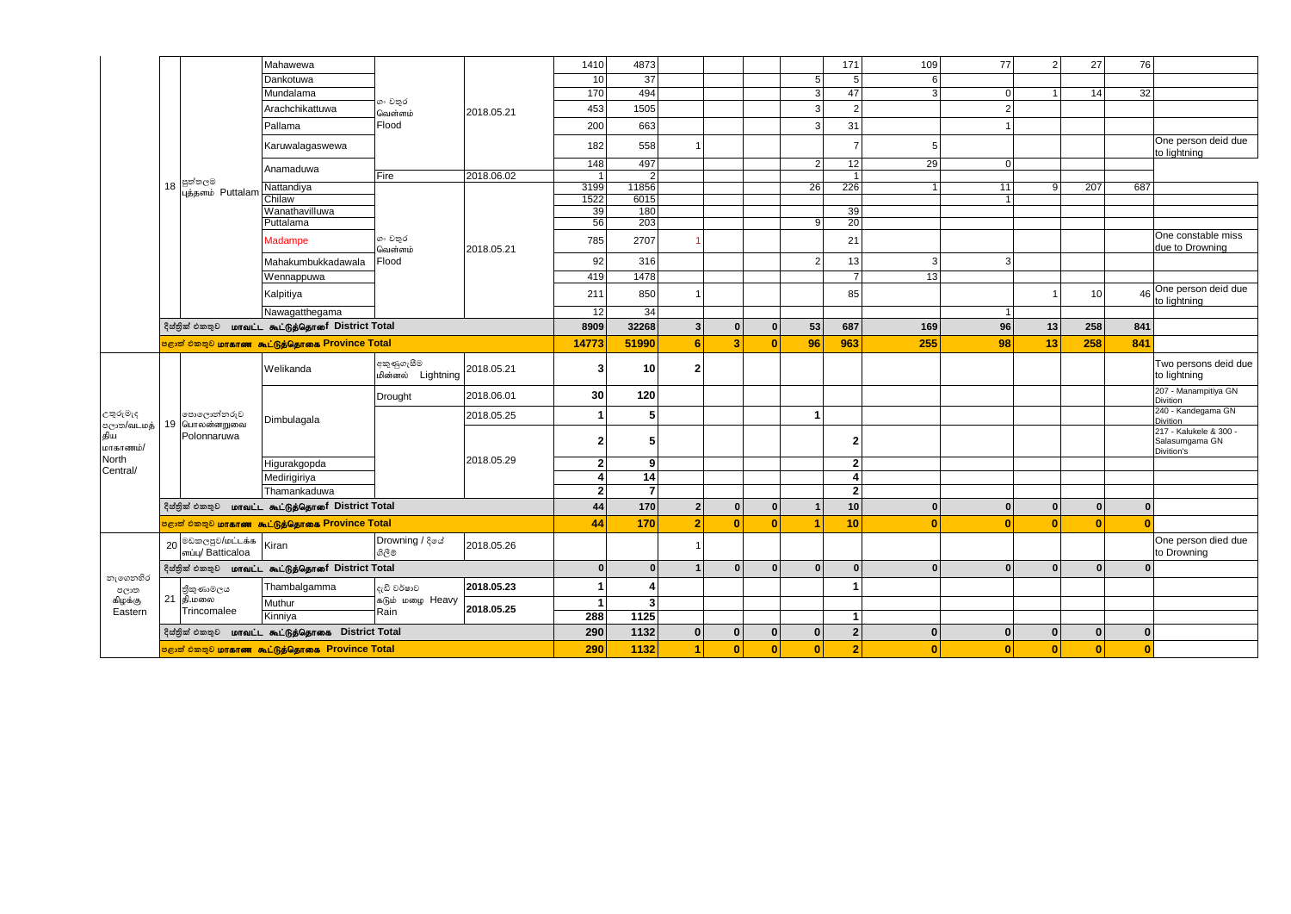|                  |    |                                                      | Mahawewa                                                           |                                 |                      | 1410            | 4873                    |                |                |              |                         | 171                     | 109            | 77                 | $\overline{2}$ | 27           | 76           |                                          |
|------------------|----|------------------------------------------------------|--------------------------------------------------------------------|---------------------------------|----------------------|-----------------|-------------------------|----------------|----------------|--------------|-------------------------|-------------------------|----------------|--------------------|----------------|--------------|--------------|------------------------------------------|
|                  |    |                                                      | Dankotuwa                                                          |                                 |                      | 10 <sup>1</sup> | 37                      |                |                |              | $5\overline{)}$         | 5                       | 6              |                    |                |              |              |                                          |
|                  |    |                                                      | Mundalama                                                          |                                 |                      | 170             | 494                     |                |                |              | $\mathbf{3}$            | 47                      | $\overline{3}$ | 0                  |                | 14           | 32           |                                          |
|                  |    |                                                      | Arachchikattuwa                                                    | ගං වතුර<br>வெள்ளம்              | 2018.05.21           | 453             | 1505                    |                |                |              | $\mathbf{3}$            | $\overline{2}$          |                | $\sqrt{2}$         |                |              |              |                                          |
|                  |    |                                                      | Pallama                                                            | Flood                           |                      | 200             | 663                     |                |                |              | 3                       | 31                      |                | $\overline{1}$     |                |              |              |                                          |
|                  |    |                                                      | Karuwalagaswewa                                                    |                                 |                      | 182             | 558                     | $\overline{1}$ |                |              |                         | 7                       | 5              |                    |                |              |              | One person deid due<br>to lightning      |
|                  |    |                                                      | Anamaduwa                                                          |                                 |                      | 148             | 497                     |                |                |              | $\overline{2}$          | 12                      | 29             | $\mathbf 0$        |                |              |              |                                          |
|                  | 18 | පුත්තලම                                              |                                                                    | Fire                            | 2018.06.02           | 1 <sup>1</sup>  | $\overline{2}$          |                |                |              |                         | $\overline{1}$          |                |                    |                |              |              |                                          |
|                  |    | புத்தளம் Puttalam                                    | Nattandiya<br>Chilaw                                               |                                 |                      | 3199<br>1522    | 11856<br>6015           |                |                |              | 26                      | 226                     | $\vert$ 1      | 11<br>$\mathbf{1}$ | 9              | 207          | 687          |                                          |
|                  |    |                                                      | Wanathavilluwa                                                     |                                 |                      | 39              | 180                     |                |                |              |                         | 39                      |                |                    |                |              |              |                                          |
|                  |    |                                                      | Puttalama                                                          |                                 |                      | 56              | 203                     |                |                |              | 9                       | 20                      |                |                    |                |              |              |                                          |
|                  |    |                                                      | Madampe                                                            | ගං වතුර<br>வெள்ளம்              | 2018.05.21           | 785             | 2707                    | 1              |                |              |                         | 21                      |                |                    |                |              |              | One constable miss<br>due to Drowning    |
|                  |    |                                                      | Mahakumbukkadawala                                                 | Flood                           |                      | 92              | 316                     |                |                |              | $\overline{2}$          | 13                      | 3              | 3                  |                |              |              |                                          |
|                  |    |                                                      | Wennappuwa                                                         |                                 |                      | 419             | 1478                    |                |                |              |                         | $\overline{7}$          | 13             |                    |                |              |              |                                          |
|                  |    |                                                      | Kalpitiya                                                          |                                 |                      | 211             | 850                     | $\overline{1}$ |                |              |                         | 85                      |                |                    |                | 10           | 46           | One person deid due<br>to lightning      |
|                  |    |                                                      | Nawagatthegama                                                     |                                 |                      | 12              | 34                      |                |                |              |                         |                         |                | $\mathbf{1}$       |                |              |              |                                          |
|                  |    | දිස්තික් එකතුව மாவட்ட கூட்டுத்தொரை District Total    | 8909                                                               | 32268                           | $\mathbf 3$          | $\mathbf{0}$    | $\mathbf{0}$            | 53             | 687            | 169          | 96                      | 13                      | 258            | 841                |                |              |              |                                          |
|                  |    |                                                      | <mark>පළාත් එකතුව <b>மாகாண</b>  கூட்டுத்தொகை Province Total</mark> |                                 |                      | 14773           | 51990                   | $6\phantom{1}$ | 3              | $\bf{0}$     | 96                      | 963                     | 255            | 98                 | 13             | 258          | 841          |                                          |
|                  |    |                                                      | Welikanda                                                          | අකුණුගැසීම<br>மின்னல் Lightning | 2018.05.21           | 3               | 10 <sup>1</sup>         | $\mathbf 2$    |                |              |                         |                         |                |                    |                |              |              | Two persons deid due<br>to lightning     |
|                  |    |                                                      |                                                                    | Drought                         | 2018.06.01           | 30              | 120                     |                |                |              |                         |                         |                |                    |                |              |              | 207 - Manampitiya GN<br>Divition         |
| උතුරුමැද         |    | පොලොන්නරුව                                           | Dimbulagala                                                        |                                 | 2018.05.25           | $\mathbf{1}$    | 5 <sup>5</sup>          |                |                |              | $\overline{\mathbf{1}}$ |                         |                |                    |                |              |              | 240 - Kandegama GN<br><b>Divition</b>    |
| திய<br>மாகாணம்/  |    | eලාක/வடமத்   19  பொலன்னறுவை<br>Polonnaruwa           |                                                                    |                                 |                      | 2 <sub>1</sub>  | 5                       |                |                |              |                         | $\overline{2}$          |                |                    |                |              |              | 217 - Kalukele & 300 -<br>Salasumgama GN |
| North            |    |                                                      | Higurakgopda                                                       |                                 | 2018.05.29           | 2 <sup>1</sup>  | 9                       |                |                |              |                         | $\overline{2}$          |                |                    |                |              |              | Divition's                               |
| Central/         |    |                                                      | Medirigiriya                                                       |                                 |                      | $\overline{4}$  | 14                      |                |                |              |                         | $\overline{\mathbf{A}}$ |                |                    |                |              |              |                                          |
|                  |    |                                                      | Thamankaduwa                                                       |                                 |                      | $\mathbf{2}$    | $\overline{7}$          |                |                |              |                         | 2 <sup>1</sup>          |                |                    |                |              |              |                                          |
|                  |    |                                                      | දිස්තුික් එකතුව <b>மாவட்ட கூட்டுத்தொரை District Total</b>          |                                 |                      | 44              | 170                     | $\mathbf 2$    | $\mathbf{0}$   | $\mathbf 0$  | $\overline{1}$          | 10                      | $\Omega$       | $\mathbf{0}$       | $\mathbf 0$    | $\mathbf 0$  | $\mathbf 0$  |                                          |
|                  |    |                                                      | පළාත් එකතුව <b>மாகாண கூட்டுத்தொகை Province Total</b>               |                                 |                      | 44              | 170                     | $\overline{2}$ | $\overline{0}$ | $\bf{0}$     | 1                       | 10                      | $\Omega$       | $\mathbf{0}$       | $\mathbf{0}$   | $\mathbf{0}$ | $\mathbf{0}$ |                                          |
|                  |    | 20 <sup>0லெஜெல</sup> மட்டக்க<br>ளப்பு/ Batticaloa    | Kiran                                                              | Drowning / දියේ<br>ගිලීම        | 2018.05.26           |                 |                         | $\mathbf{1}$   |                |              |                         |                         |                |                    |                |              |              | One person died due<br>to Drowning       |
|                  |    |                                                      | දිස්තික් එකතුව <b>மாவட்ட கூட்டுத்தொரை District Total</b>           |                                 |                      | $\mathbf{0}$    | $\mathbf{0}$            | $\mathbf{1}$   | $\mathbf{0}$   | $\mathbf{0}$ | $\mathbf{0}$            | $\bf{0}$                | $\bf{0}$       | $\mathbf{0}$       | $\Omega$       | $\mathbf{0}$ | $\mathbf{0}$ |                                          |
| නැගෙනහිර<br>පලාත |    |                                                      | Thambalgamma                                                       | දැඩි වර්ෂාව                     | 2018.05.23           | $\mathbf{1}$    | 4                       |                |                |              |                         | -1                      |                |                    |                |              |              |                                          |
| கிழக்கு          |    | ජිකුණාමලය<br>21   தி.மலை                             | Muthur                                                             | கடும் மழை Heavy                 | 2018.05.25           | $\mathbf{1}$    | $\overline{\mathbf{3}}$ |                |                |              |                         |                         |                |                    |                |              |              |                                          |
| Eastern          |    | Trincomalee                                          | Kinniya                                                            | Rain                            |                      | 288             | 1125                    |                |                |              |                         | $\overline{1}$          |                |                    |                |              |              |                                          |
|                  |    |                                                      | දිස්නික් එකතුව <b>மாவட்ட கூட்டுத்தொகை District Total</b>           |                                 |                      | 290             | 1132                    | $\mathbf{0}$   | $\mathbf{0}$   | $\mathbf{0}$ | $\mathbf{0}$            | $\overline{2}$          | $\bf{0}$       | $\mathbf{0}$       | $\mathbf{0}$   | $\mathbf{0}$ | $\mathbf{0}$ |                                          |
|                  |    | පළාත් එකතුව <b>மாகாண கூட்டுத்தொகை Province Total</b> | 290                                                                | 1132                            | $\blacktriangleleft$ | $\overline{0}$  | $\mathbf{0}$            | $\mathbf{0}$   | $\overline{2}$ | $\Omega$     | $\mathbf{0}$            | $\mathbf{0}$            | $\mathbf{0}$   | $\mathbf{0}$       |                |              |              |                                          |